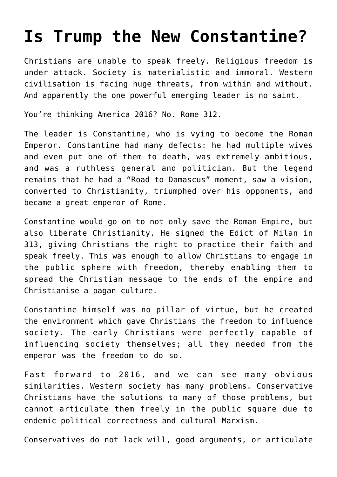## **[Is Trump the New Constantine?](https://intellectualtakeout.org/2016/11/is-trump-the-new-constantine/)**

Christians are unable to speak freely. Religious freedom is under attack. Society is materialistic and immoral. Western civilisation is facing huge threats, from within and without. And apparently the one powerful emerging leader is no saint.

You're thinking America 2016? No. Rome 312.

The leader is Constantine, who is vying to become the Roman Emperor. Constantine had many defects: he had multiple wives and even put one of them to death, was extremely ambitious, and was a ruthless general and politician. But the legend remains that he had a "Road to Damascus" moment, saw a vision, converted to Christianity, triumphed over his opponents, and became a great emperor of Rome.

Constantine would go on to not only save the Roman Empire, but also liberate Christianity. He signed the Edict of Milan in 313, giving Christians the right to practice their faith and speak freely. This was enough to allow Christians to engage in the public sphere with freedom, thereby enabling them to spread the Christian message to the ends of the empire and Christianise a pagan culture.

Constantine himself was no pillar of virtue, but he created the environment which gave Christians the freedom to influence society. The early Christians were perfectly capable of influencing society themselves; all they needed from the emperor was the freedom to do so.

Fast forward to 2016, and we can see many obvious similarities. Western society has many problems. Conservative Christians have the solutions to many of those problems, but cannot articulate them freely in the public square due to endemic political correctness and cultural Marxism.

Conservatives do not lack will, good arguments, or articulate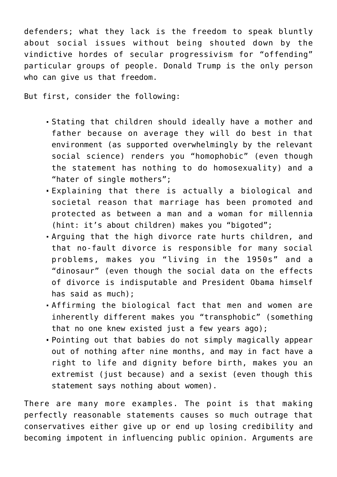defenders; what they lack is the freedom to speak bluntly about social issues without being shouted down by the vindictive hordes of secular progressivism for "offending" particular groups of people. Donald Trump is the only person who can give us that freedom.

But first, consider the following:

- Stating that children should ideally have a mother and father because on average they will do best in that environment (as supported overwhelmingly by the relevant social science) renders you "homophobic" (even though the statement has nothing to do homosexuality) and a "hater of single mothers";
- Explaining that there is actually a biological and societal reason that marriage has been promoted and protected as between a man and a woman for millennia (hint: it's about children) makes you "bigoted";
- Arguing that the high divorce rate hurts children, and that no-fault divorce is responsible for many social problems, makes you "living in the 1950s" and a "dinosaur" (even though the social data on the effects of divorce is indisputable and President Obama himself has said as much);
- Affirming the biological fact that men and women are inherently different makes you "transphobic" (something that no one knew existed just a few years ago);
- Pointing out that babies do not simply magically appear out of nothing after nine months, and may in fact have a right to life and dignity before birth, makes you an extremist (just because) and a sexist (even though this statement says nothing about women).

There are many more examples. The point is that making perfectly reasonable statements causes so much outrage that conservatives either give up or end up losing credibility and becoming impotent in influencing public opinion. Arguments are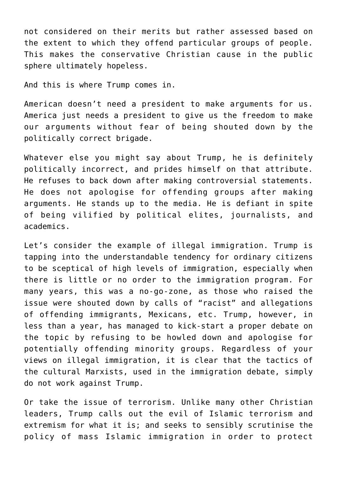not considered on their merits but rather assessed based on the extent to which they offend particular groups of people. This makes the conservative Christian cause in the public sphere ultimately hopeless.

And this is where Trump comes in.

American doesn't need a president to make arguments for us. America just needs a president to give us the freedom to make our arguments without fear of being shouted down by the politically correct brigade.

Whatever else you might say about Trump, he is definitely politically incorrect, and prides himself on that attribute. He refuses to back down after making controversial statements. He does not apologise for offending groups after making arguments. He stands up to the media. He is defiant in spite of being vilified by political elites, journalists, and academics.

Let's consider the example of illegal immigration. Trump is tapping into the understandable tendency for ordinary citizens to be sceptical of high levels of immigration, especially when there is little or no order to the immigration program. For many years, this was a no-go-zone, as those who raised the issue were shouted down by calls of "racist" and allegations of offending immigrants, Mexicans, etc. Trump, however, in less than a year, has managed to kick-start a proper debate on the topic by refusing to be howled down and apologise for potentially offending minority groups. Regardless of your views on illegal immigration, it is clear that the tactics of the cultural Marxists, used in the immigration debate, simply do not work against Trump.

Or take the issue of terrorism. Unlike many other Christian leaders, Trump calls out the evil of Islamic terrorism and extremism for what it is; and seeks to sensibly scrutinise the policy of mass Islamic immigration in order to protect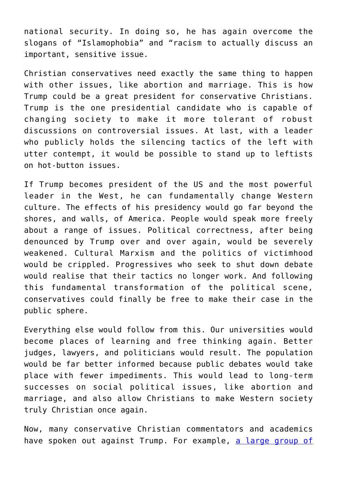national security. In doing so, he has again overcome the slogans of "Islamophobia" and "racism to actually discuss an important, sensitive issue.

Christian conservatives need exactly the same thing to happen with other issues, like abortion and marriage. This is how Trump could be a great president for conservative Christians. Trump is the one presidential candidate who is capable of changing society to make it more tolerant of robust discussions on controversial issues. At last, with a leader who publicly holds the silencing tactics of the left with utter contempt, it would be possible to stand up to leftists on hot-button issues.

If Trump becomes president of the US and the most powerful leader in the West, he can fundamentally change Western culture. The effects of his presidency would go far beyond the shores, and walls, of America. People would speak more freely about a range of issues. Political correctness, after being denounced by Trump over and over again, would be severely weakened. Cultural Marxism and the politics of victimhood would be crippled. Progressives who seek to shut down debate would realise that their tactics no longer work. And following this fundamental transformation of the political scene, conservatives could finally be free to make their case in the public sphere.

Everything else would follow from this. Our universities would become places of learning and free thinking again. Better judges, lawyers, and politicians would result. The population would be far better informed because public debates would take place with fewer impediments. This would lead to long-term successes on social political issues, like abortion and marriage, and also allow Christians to make Western society truly Christian once again.

Now, many conservative Christian commentators and academics have spoken out against Trump. For example, [a large group of](http://www.nationalreview.com/article/432437/donald-trump-catholic-opposition-statement)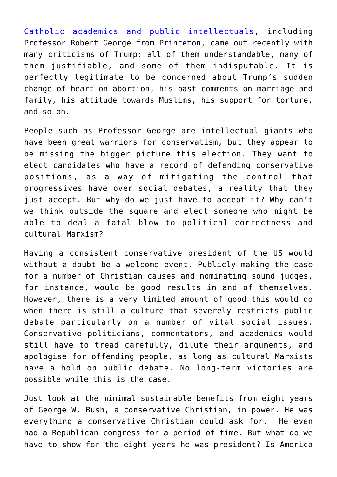[Catholic academics and public intellectuals,](http://www.nationalreview.com/article/432437/donald-trump-catholic-opposition-statement) including Professor Robert George from Princeton, came out recently with many criticisms of Trump: all of them understandable, many of them justifiable, and some of them indisputable. It is perfectly legitimate to be concerned about Trump's sudden change of heart on abortion, his past comments on marriage and family, his attitude towards Muslims, his support for torture, and so on.

People such as Professor George are intellectual giants who have been great warriors for conservatism, but they appear to be missing the bigger picture this election. They want to elect candidates who have a record of defending conservative positions, as a way of mitigating the control that progressives have over social debates, a reality that they just accept. But why do we just have to accept it? Why can't we think outside the square and elect someone who might be able to deal a fatal blow to political correctness and cultural Marxism?

Having a consistent conservative president of the US would without a doubt be a welcome event. Publicly making the case for a number of Christian causes and nominating sound judges, for instance, would be good results in and of themselves. However, there is a very limited amount of good this would do when there is still a culture that severely restricts public debate particularly on a number of vital social issues. Conservative politicians, commentators, and academics would still have to tread carefully, dilute their arguments, and apologise for offending people, as long as cultural Marxists have a hold on public debate. No long-term victories are possible while this is the case.

Just look at the minimal sustainable benefits from eight years of George W. Bush, a conservative Christian, in power. He was everything a conservative Christian could ask for. He even had a Republican congress for a period of time. But what do we have to show for the eight years he was president? Is America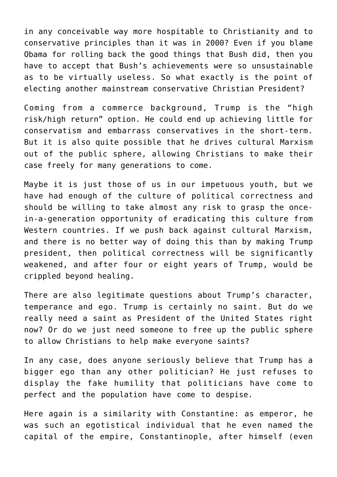in any conceivable way more hospitable to Christianity and to conservative principles than it was in 2000? Even if you blame Obama for rolling back the good things that Bush did, then you have to accept that Bush's achievements were so unsustainable as to be virtually useless. So what exactly is the point of electing another mainstream conservative Christian President?

Coming from a commerce background, Trump is the "high risk/high return" option. He could end up achieving little for conservatism and embarrass conservatives in the short-term. But it is also quite possible that he drives cultural Marxism out of the public sphere, allowing Christians to make their case freely for many generations to come.

Maybe it is just those of us in our impetuous youth, but we have had enough of the culture of political correctness and should be willing to take almost any risk to grasp the oncein-a-generation opportunity of eradicating this culture from Western countries. If we push back against cultural Marxism, and there is no better way of doing this than by making Trump president, then political correctness will be significantly weakened, and after four or eight years of Trump, would be crippled beyond healing.

There are also legitimate questions about Trump's character, temperance and ego. Trump is certainly no saint. But do we really need a saint as President of the United States right now? Or do we just need someone to free up the public sphere to allow Christians to help make everyone saints?

In any case, does anyone seriously believe that Trump has a bigger ego than any other politician? He just refuses to display the fake humility that politicians have come to perfect and the population have come to despise.

Here again is a similarity with Constantine: as emperor, he was such an egotistical individual that he even named the capital of the empire, Constantinople, after himself (even